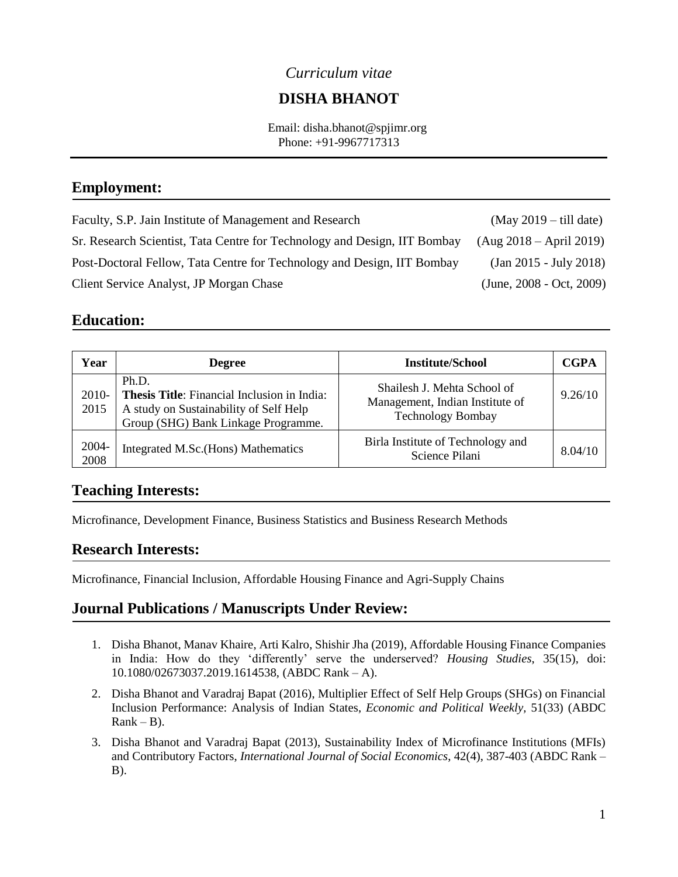#### *Curriculum vitae*

# **DISHA BHANOT**

 Email: disha.bhanot@spjimr.org Phone: +91-9967717313

## **Employment:**

Faculty, S.P. Jain Institute of Management and Research (May 2019 – till date) Sr. Research Scientist, Tata Centre for Technology and Design, IIT Bombay (Aug 2018 – April 2019) Post-Doctoral Fellow, Tata Centre for Technology and Design, IIT Bombay (Jan 2015 - July 2018) Client Service Analyst, JP Morgan Chase (June, 2008 - Oct, 2009)

#### **Education:**

| Year          | <b>Degree</b>                                                                                                                                | <b>Institute/School</b>                                                                    | <b>CGPA</b> |
|---------------|----------------------------------------------------------------------------------------------------------------------------------------------|--------------------------------------------------------------------------------------------|-------------|
| 2010-<br>2015 | Ph.D.<br><b>Thesis Title:</b> Financial Inclusion in India:<br>A study on Sustainability of Self Help<br>Group (SHG) Bank Linkage Programme. | Shailesh J. Mehta School of<br>Management, Indian Institute of<br><b>Technology Bombay</b> | 9.26/10     |
| 2004-<br>2008 | Integrated M.Sc. (Hons) Mathematics                                                                                                          | Birla Institute of Technology and<br>Science Pilani                                        | 8.04/10     |

#### **Teaching Interests:**

Microfinance, Development Finance, Business Statistics and Business Research Methods

#### **Research Interests:**

Microfinance, Financial Inclusion, Affordable Housing Finance and Agri-Supply Chains

#### **Journal Publications / Manuscripts Under Review:**

- 1. Disha Bhanot, Manav Khaire, Arti Kalro, Shishir Jha (2019), Affordable Housing Finance Companies in India: How do they 'differently' serve the underserved? *Housing Studies*, 35(15), doi: 10.1080/02673037.2019.1614538, (ABDC Rank – A).
- 2. Disha Bhanot and Varadraj Bapat (2016), Multiplier Effect of Self Help Groups (SHGs) on Financial Inclusion Performance: Analysis of Indian States, *Economic and Political Weekly,* 51(33) (ABDC  $Rank - B$ ).
- 3. Disha Bhanot and Varadraj Bapat (2013), Sustainability Index of Microfinance Institutions (MFIs) and Contributory Factors, *International Journal of Social Economics*, 42(4), 387-403 (ABDC Rank – B).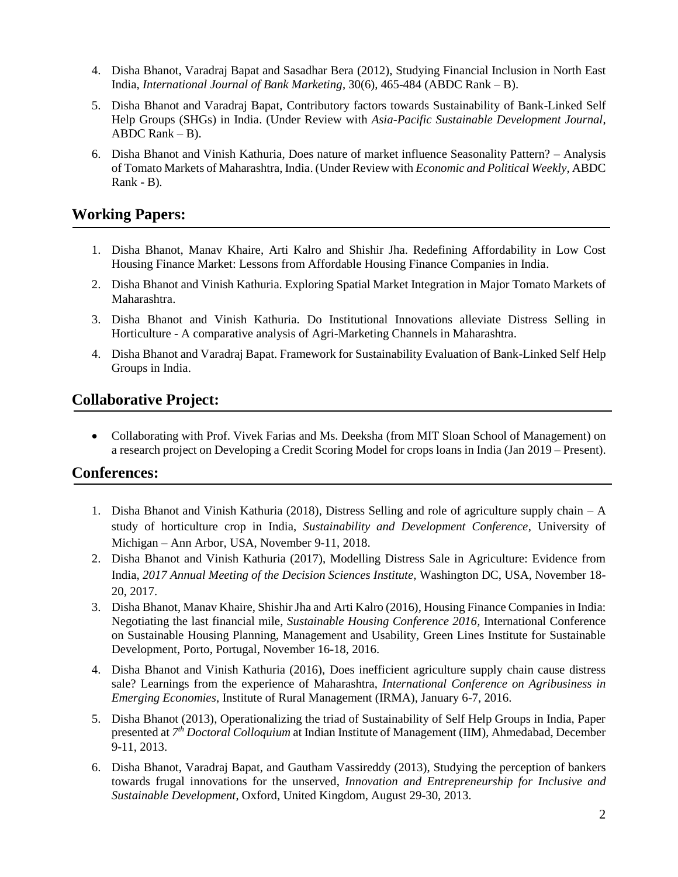- 4. Disha Bhanot, Varadraj Bapat and Sasadhar Bera (2012), Studying Financial Inclusion in North East India, *International Journal of Bank Marketing*, 30(6), 465-484 (ABDC Rank – B).
- 5. Disha Bhanot and Varadraj Bapat, Contributory factors towards Sustainability of Bank-Linked Self Help Groups (SHGs) in India. (Under Review with *Asia-Pacific Sustainable Development Journal*, ABDC Rank – B).
- 6. Disha Bhanot and Vinish Kathuria, Does nature of market influence Seasonality Pattern? Analysis of Tomato Markets of Maharashtra, India. (Under Review with *Economic and Political Weekly*, ABDC Rank - B)*.*

## **Working Papers:**

- 1. Disha Bhanot, Manav Khaire, Arti Kalro and Shishir Jha. Redefining Affordability in Low Cost Housing Finance Market: Lessons from Affordable Housing Finance Companies in India.
- 2. Disha Bhanot and Vinish Kathuria. Exploring Spatial Market Integration in Major Tomato Markets of Maharashtra.
- 3. Disha Bhanot and Vinish Kathuria. Do Institutional Innovations alleviate Distress Selling in Horticulture - A comparative analysis of Agri-Marketing Channels in Maharashtra.
- 4. Disha Bhanot and Varadraj Bapat. Framework for Sustainability Evaluation of Bank-Linked Self Help Groups in India.

# **Collaborative Project:**

• Collaborating with Prof. Vivek Farias and Ms. Deeksha (from MIT Sloan School of Management) on a research project on Developing a Credit Scoring Model for crops loans in India (Jan 2019 – Present).

#### **Conferences:**

- 1. Disha Bhanot and Vinish Kathuria (2018), Distress Selling and role of agriculture supply chain A study of horticulture crop in India, *Sustainability and Development Conference*, University of Michigan – Ann Arbor, USA, November 9-11, 2018.
- 2. Disha Bhanot and Vinish Kathuria (2017), Modelling Distress Sale in Agriculture: Evidence from India, *2017 Annual Meeting of the Decision Sciences Institute,* Washington DC, USA, November 18- 20, 2017.
- 3. Disha Bhanot, Manav Khaire, Shishir Jha and Arti Kalro (2016), Housing Finance Companies in India: Negotiating the last financial mile, *Sustainable Housing Conference 2016,* International Conference on Sustainable Housing Planning, Management and Usability, Green Lines Institute for Sustainable Development, Porto, Portugal, November 16-18, 2016.
- 4. Disha Bhanot and Vinish Kathuria (2016), Does inefficient agriculture supply chain cause distress sale? Learnings from the experience of Maharashtra, *International Conference on Agribusiness in Emerging Economies*, Institute of Rural Management (IRMA), January 6-7, 2016.
- 5. Disha Bhanot (2013), Operationalizing the triad of Sustainability of Self Help Groups in India, Paper presented at 7<sup>th</sup> Doctoral Colloquium at Indian Institute of Management (IIM), Ahmedabad, December 9-11, 2013.
- 6. Disha Bhanot, Varadraj Bapat, and Gautham Vassireddy (2013), Studying the perception of bankers towards frugal innovations for the unserved, *Innovation and Entrepreneurship for Inclusive and Sustainable Development*, Oxford, United Kingdom, August 29-30, 2013.